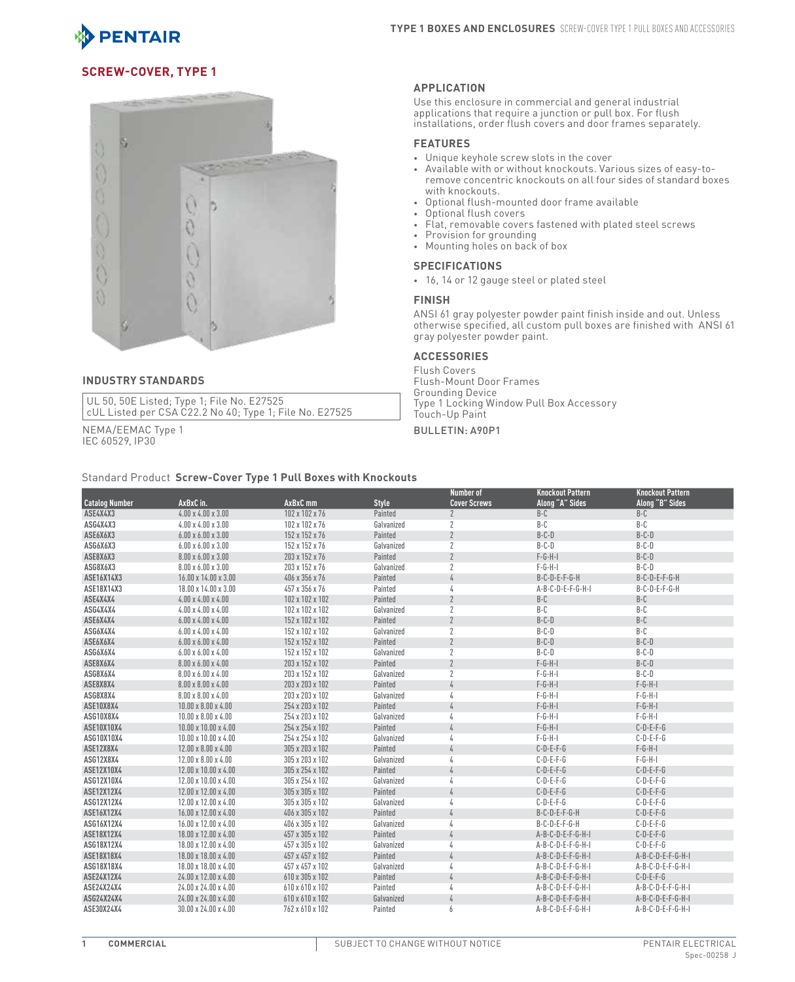

# **Screw-Cover, Type 1**



#### **INDUSTRY STANDARDS**

UL 50, 50E Listed; Type 1; File No. E27525 cUL Listed per CSA C22.2 No 40; Type 1; File No. E27525

NEMA/EEMAC Type 1 IEC 60529, IP30

#### **APPLICATION**

Use this enclosure in commercial and general industrial applications that require a junction or pull box. For flush installations, order flush covers and door frames separately.

## **FEATURES**

- • Unique keyhole screw slots in the cover
- Available with or without knockouts. Various sizes of easy-toremove concentric knockouts on all four sides of standard boxes with knockouts.
- • Optional flush-mounted door frame available
- Optional flush covers
- Flat, removable covers fastened with plated steel screws
- Provision for grounding
- • Mounting holes on back of box

## **SPECIFICATIONS**

• 16, 14 or 12 gauge steel or plated steel

#### **FINISH**

ANSI 61 gray polyester powder paint finish inside and out. Unless otherwise specified, all custom pull boxes are finished with ANSI 61 gray polyester powder paint.

#### **ACCESSORIES**

Flush Covers Flush-Mount Door Frames Grounding Device Type 1 Locking Window Pull Box Accessory Touch-Up Paint

#### Bulletin: A90P1

Standard Product **Screw-Cover Type 1 Pull Boxes with Knockouts Catalog Number AxBxC in. AxBxC mm Style Number of Cover Screws Knockout Pattern Along "A" Sides Knockout Pattern Along "B" Sides ASE4X4X3** 4.00 x 4.00 x 3.00 102 x 102 x 76 Painted 2 B-C B-C B-C **ASG4X4X3** 4.00 x 4.00 x 3.00 102 x 102 x 76 Galvanized 2 B-C B-C **ASE6X6X3** 6.00 x 6.00 x 3.00 152 x 152 x 152 x 76 Painted 2 B-C-D B-C-D B-C-D B-C-D **ASG6X6X3** 6.00 x 6.00 x 3.00 152 x 152 x 76 Galvanized 2 B-C-D B-C-D **ASE8X6X3** 8.00 x 6.00 x 3.00 203 x 152 x 76 Painted 2 F-G-H-I B-C-D **ASG8X6X3** 8.00 x 6.00 x 3.00 203 x 152 x 76 Galvanized 2 F-G-H-I B-C-D **ASE16X14X3** 16.00 x 14.00 x 3.00 406 x 356 x 76 Painted 4 B-C-D-E-F-G-H B-C-D-E-F-G-H **ASE18X14X3** 18.00 x 14.00 x 3.00 457 x 356 x 76 Painted 4 A-B-C-D-E-F-G-H-I B-C-D-E-F-G-H **ASE4X4X4** 4.00 x 4.00 x 4.00 4.00 102 x 102 x 102 x 102 annted 2 B-C B-C B-C B-C **ASG4X4X4** 4.00 x 4.00 x 4.00 102 x 102 x 102 Galvanized 2 B-C B-C **ASE6X4X4** 6.00 x 4.00 x 4.00 to the control of the control of the Painted 2 and 2 B-C-D B-C-D B-C-D B-C B-C B-C **ASG6X4X4** 6.00 x 4.00 x 4.00 152 x 102 x 102 Galvanized 2 B-C-D B-C **ASE6X6X4** 6.00 x 6.00 x 4.00 152 x 152 x 102 Painted 2 B-C-D B-C-D **ASG6X6X4** 6.00 x 6.00 x 4.00 152 x 152 x 102 Galvanized 2 B-C-D B-C-D **ASE8X6X4** 8.00 x 6.00 x 4.00 203 x 152 x 102 Painted 2 F-G-H-I B-C-D **ASG8X6X4** 8.00 x 6.00 x 4.00 203 x 152 x 102 Galvanized 2 F-G-H-I B-C-D **ASE8X8X4** 8.00 x 8.00 x 4.00 203 x 203 x 102 Painted 4 F-G-H-I F-G-H-I **ASG8X8X4** 8.00 x 8.00 x 4.00 203 x 203 x 102 Galvanized 4 F-G-H-I F-G-H-I **ASE10X8X4** 10.00 x 8.00 x 4.00 254 x 203 x 102 Painted 4 F-G-H-I F-G-H-I **ASG10X8X4** 10.00 x 8.00 x 4.00 254 x 203 x 102 Galvanized 4 F-G-H-I F-G-H-I **ASE10X10X4** 10.00 x 10.00 x 4.00 254 x 254 x 102 Painted 4 F-G-H-I C-D-E-F-G **ASG10X10X4** 10.00 x 10.00 x 4.00 254 x 254 x 102 Galvanized 4 F-G-H-I C-D-E-F-G **ASE12X8X4** 12.00 x 8.00 x 4.00 305 x 203 x 102 Painted 4 C-D-E-F-G F-G-H-I **ASG12X8X4** 12.00 x 8.00 x 4.00 305 x 203 x 102 Galvanized 4 C-D-E-F-G F-G-H-I **ASE12X10X4** 12.00 x 10.00 x 4.00 305 x 254 x 102 Painted 4 C-D-E-F-G C-D-E-F-G **ASG12X10X4** 12.00 x 10.00 x 4.00 305 x 254 x 102 Galvanized 4 C-D-E-F-G C-D-E-F-G **ASE12X12X4** 12.00 x 12.00 x 4.00 305 x 305 x 102 Painted 4 C-D-E-F-G C-D-E-F-G **ASG12X12X4** 12.00 x 12.00 x 4.00 305 x 305 x 102 Galvanized 4 C-D-E-F-G C-D-E-F-G **ASE16X12X4** 16.00 x 12.00 x 4.00 406 x 305 x 102 Painted 4 B-C-D-E-F-G-H C-D-E-F-G **ASG16X12X4** 16.00 x 12.00 x 4.00 406 x 305 x 102 Galvanized 4 B-C-D-E-F-G-H C-D-E-F-G **ASE18X12X4** 18.00 x 12.00 x 4.00 457 x 305 x 102 Painted 4 A-B-C-D-E-F-G-H-I C-D-E-F-G **ASG18X12X4** 18.00 x 12.00 x 4.00 457 x 305 x 102 Galvanized 4 A-B-C-D-E-F-G-H-I C-D-E-F-G **ASE18X18X4** 18.00 x 18.00 x 4.00 457 x 457 x 102 Painted 4 A-B-C-D-E-F-G-H-I A-B-C-D-E-F-G-H-I **ASG18X18X4** 18.00 x 18.00 x 4.00 457 x 457 x 102 Galvanized 4 A-B-C-D-E-F-G-H-I A-B-C-D-E-F-G-H-I **ASE24X12X4** 24.00 x 12.00 x 4.00 610 x 305 x 102 Painted 4 A-B-C-D-E-F-G-H-I C-D-E-F-G **ASE24X24X4** 24.00 x 24.00 x 4.00 610 x 610 x 102 Painted 4 A-B-C-D-E-F-G-H-I A-B-C-D-E-F-G-H-I **ASG24X24X4** 24.00 x 24.00 x 4.00 610 x 610 x 102 Galvanized 4 A-B-C-D-E-F-G-H-I A-B-C-D-E-F-G-H-I **ASE30X24X4** 30.00 x 24.00 x 4.00 762 x 610 x 102 Painted 6 A-B-C-D-E-F-G-H-I A-B-C-D-E-F-G-H-I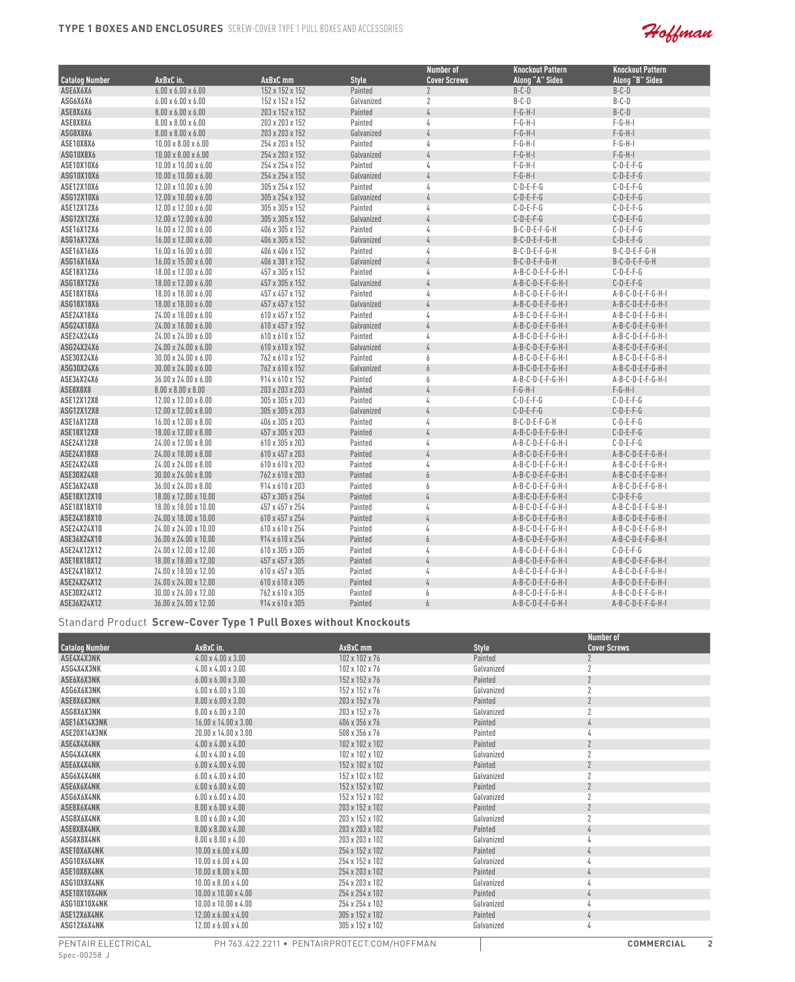

|                       |                                  |                 |              | <b>Number of</b>    | <b>Knockout Pattern</b> | <b>Knockout Pattern</b> |
|-----------------------|----------------------------------|-----------------|--------------|---------------------|-------------------------|-------------------------|
| <b>Catalog Number</b> | AxBxC in.                        | AxBxC mm        | <b>Style</b> | <b>Cover Screws</b> | Along "A" Sides         | Along "B" Sides         |
| ASE6X6X6              | $6.00 \times 6.00 \times 6.00$   | 152 x 152 x 152 | Painted      | $\overline{2}$      | $B-C-D$                 | $B-C-D$                 |
| ASG6X6X6              | $6.00 \times 6.00 \times 6.00$   | 152 x 152 x 152 | Galvanized   | 2                   | $B-C-D$                 | $B-C-D$                 |
| ASE8X6X6              | $8.00 \times 6.00 \times 6.00$   | 203 x 152 x 152 | Painted      | 4                   | $F-G-H-I$               | $B-C-D$                 |
| ASE8X8X6              | $8.00 \times 8.00 \times 6.00$   | 203 x 203 x 152 | Painted      | 4                   | $F-G-H-I$               | $F-G-H-I$               |
| ASG8X8X6              | $8.00 \times 8.00 \times 6.00$   | 203 x 203 x 152 | Galvanized   | $\sqrt{4}$          | $F-G-H-I$               | $F-G-H-I$               |
| ASE10X8X6             | $10.00 \times 8.00 \times 6.00$  | 254 x 203 x 152 | Painted      | 4                   | $F-G-H-I$               | $F-G-H-I$               |
| ASG10X8X6             | $10.00 \times 8.00 \times 6.00$  | 254 x 203 x 152 | Galvanized   | $\sqrt{4}$          | $F-G-H-I$               | $F-G-H-I$               |
| ASE10X10X6            | $10.00 \times 10.00 \times 6.00$ | 254 x 254 x 152 | Painted      | 4                   | $F-G-H-I$               | $C-D-E-F-G$             |
| ASG10X10X6            | $10.00 \times 10.00 \times 6.00$ | 254 x 254 x 152 | Galvanized   | $\sqrt{4}$          | $F-G-H-I$               | $C-D-E-F-G$             |
| ASE12X10X6            | 12.00 x 10.00 x 6.00             | 305 x 254 x 152 | Painted      | 4                   | $C-D-E-F-G$             | $C-D-E-F-G$             |
| ASG12X10X6            | 12.00 x 10.00 x 6.00             | 305 x 254 x 152 | Galvanized   | $\sqrt{4}$          | $C-D-E-F-G$             | $C-D-E-F-G$             |
| ASE12X12X6            | 12.00 x 12.00 x 6.00             | 305 x 305 x 152 | Painted      | 4                   | $C-D-E-F-G$             | $C-D-E-F-G$             |
| ASG12X12X6            | 12.00 x 12.00 x 6.00             | 305 x 305 x 152 | Galvanized   | $\sqrt{4}$          | $C-D-E-F-G$             | $C-D-E-F-G$             |
| ASE16X12X6            | 16.00 x 12.00 x 6.00             | 406 x 305 x 152 | Painted      | 4                   | B-C-D-E-F-G-H           | $C-D-E-F-G$             |
| ASG16X12X6            | 16.00 x 12.00 x 6.00             | 406 x 305 x 152 | Galvanized   | 4                   | $B-C-D-E-F-G-H$         | $C-D-E-F-G$             |
| ASE16X16X6            | 16.00 x 16.00 x 6.00             | 406 x 406 x 152 | Painted      | 4                   | B-C-D-E-F-G-H           | B-C-D-E-F-G-H           |
| ASG16X16X6            | 16.00 x 15.00 x 6.00             | 406 x 381 x 152 | Galvanized   | 4                   | B-C-D-E-F-G-H           | B-C-D-E-F-G-H           |
| ASE18X12X6            | 18.00 x 12.00 x 6.00             | 457 x 305 x 152 | Painted      | 4                   | A-B-C-D-E-F-G-H-I       | $C-D-E-F-G$             |
| ASG18X12X6            | 18.00 x 12.00 x 6.00             | 457 x 305 x 152 | Galvanized   | $\sqrt{4}$          | $A-B-C-D-E-F-G-H-I$     | $C-D-E-F-G$             |
| ASE18X18X6            | 18.00 x 18.00 x 6.00             | 457 x 457 x 152 | Painted      | 4                   | A-B-C-D-E-F-G-H-I       | A-B-C-D-E-F-G-H-I       |
| ASG18X18X6            | 18.00 x 18.00 x 6.00             | 457 x 457 x 152 | Galvanized   | 4                   | $A-B-C-D-E-F-G-H-I$     | $A-B-C-D-E-F-G-H-I$     |
| ASE24X18X6            | 24.00 x 18.00 x 6.00             | 610 x 457 x 152 | Painted      | 4                   | A-B-C-D-E-F-G-H-I       | A-B-C-D-E-F-G-H-I       |
| ASG24X18X6            | 24.00 x 18.00 x 6.00             | 610 x 457 x 152 | Galvanized   | 4                   | A-B-C-D-E-F-G-H-I       | A-B-C-D-E-F-G-H-I       |
| ASE24X24X6            | 24.00 x 24.00 x 6.00             | 610 x 610 x 152 | Painted      | 4                   | A-B-C-D-E-F-G-H-I       | A-B-C-D-E-F-G-H-I       |
| ASG24X24X6            | 24.00 x 24.00 x 6.00             | 610 x 610 x 152 | Galvanized   | 4                   | $A-B-C-D-E-F-G-H-I$     | A-B-C-D-E-F-G-H-I       |
| ASE30X24X6            | 30.00 x 24.00 x 6.00             | 762 x 610 x 152 | Painted      | 6                   | A-B-C-D-E-F-G-H-I       | A-B-C-D-E-F-G-H-I       |
| ASG30X24X6            | $30.00 \times 24.00 \times 6.00$ | 762 x 610 x 152 | Galvanized   | 6                   | A-B-C-D-E-F-G-H-I       | A-B-C-D-E-F-G-H-I       |
| ASE36X24X6            | 36.00 x 24.00 x 6.00             | 914 x 610 x 152 | Painted      | 6                   | A-B-C-D-E-F-G-H-I       | A-B-C-D-E-F-G-H-I       |
| ASE8X8X8              | $8.00 \times 8.00 \times 8.00$   | 203 x 203 x 203 | Painted      | 4                   | $F-G-H-I$               | $F-G-H-I$               |
| ASE12X12X8            | 12.00 x 12.00 x 8.00             | 305 x 305 x 203 | Painted      | 4                   | $C-D-E-F-G$             | $C-D-E-F-G$             |
| ASG12X12X8            | 12.00 x 12.00 x 8.00             | 305 x 305 x 203 | Galvanized   | 4                   | $C-D-E-F-G$             | $C-D-E-F-G$             |
| ASE16X12X8            | 16.00 x 12.00 x 8.00             | 406 x 305 x 203 | Painted      | 4                   | $B-C-D-E-F-G-H$         | $C-D-E-F-G$             |
| ASE18X12X8            | 18.00 x 12.00 x 8.00             | 457 x 305 x 203 | Painted      | 4                   | A-B-C-D-E-F-G-H-I       | $C-D-E-F-G$             |
| ASE24X12X8            | 24.00 x 12.00 x 8.00             | 610 x 305 x 203 | Painted      | 4                   | A-B-C-D-E-F-G-H-I       | $C-D-E-F-G$             |
| ASE24X18X8            | 24.00 x 18.00 x 8.00             | 610 x 457 x 203 | Painted      | 4                   | A-B-C-D-E-F-G-H-I       | A-B-C-D-E-F-G-H-I       |
| ASE24X24X8            | 24.00 x 24.00 x 8.00             | 610 x 610 x 203 | Painted      | 4                   | A-B-C-D-E-F-G-H-I       | A-B-C-D-E-F-G-H-I       |
| ASE30X24X8            | 30.00 x 24.00 x 8.00             | 762 x 610 x 203 | Painted      | 6                   | A-B-C-D-E-F-G-H-I       | A-B-C-D-E-F-G-H-I       |
| ASE36X24X8            | 36.00 x 24.00 x 8.00             | 914 x 610 x 203 | Painted      | 6                   | A-B-C-D-E-F-G-H-I       | A-B-C-D-E-F-G-H-I       |
| ASE18X12X10           | 18.00 x 12.00 x 10.00            | 457 x 305 x 254 | Painted      | 4                   | A-B-C-D-E-F-G-H-I       | $C-D-E-F-G$             |
| ASE18X18X10           | 18.00 x 18.00 x 10.00            | 457 x 457 x 254 | Painted      | 4                   | A-B-C-D-E-F-G-H-I       | A-B-C-D-E-F-G-H-I       |
| ASE24X18X10           | 24.00 x 18.00 x 10.00            | 610 x 457 x 254 | Painted      | 4                   | A-B-C-D-E-F-G-H-I       | A-B-C-D-E-F-G-H-I       |
| ASE24X24X10           | 24.00 x 24.00 x 10.00            | 610 x 610 x 254 | Painted      | 4                   | A-B-C-D-E-F-G-H-I       | A-B-C-D-E-F-G-H-I       |
| ASE36X24X10           | 36.00 x 24.00 x 10.00            | 914 x 610 x 254 | Painted      | 6                   | A-B-C-D-E-F-G-H-I       | A-B-C-D-E-F-G-H-I       |
| ASE24X12X12           | 24.00 x 12.00 x 12.00            | 610 x 305 x 305 | Painted      | 4                   | A-B-C-D-E-F-G-H-I       | $C-D-E-F-G$             |
| ASE18X18X12           | 18.00 x 18.00 x 12.00            | 457 x 457 x 305 | Painted      | 4                   | A-B-C-D-E-F-G-H-I       | A-B-C-D-E-F-G-H-I       |
| ASE24X18X12           | 24.00 x 18.00 x 12.00            | 610 x 457 x 305 | Painted      | 4                   | A-B-C-D-E-F-G-H-I       | A-B-C-D-E-F-G-H-I       |
| ASE24X24X12           | 24.00 x 24.00 x 12.00            | 610 x 610 x 305 | Painted      | 4                   | A-B-C-D-E-F-G-H-I       | A-B-C-D-E-F-G-H-I       |
| ASE30X24X12           | 30.00 x 24.00 x 12.00            | 762 x 610 x 305 | Painted      | 6                   | A-B-C-D-E-F-G-H-I       | A-B-C-D-E-F-G-H-I       |
| ASE36X24X12           | 36.00 x 24.00 x 12.00            | 914 x 610 x 305 | Painted      | $\overline{6}$      | A-B-C-D-E-F-G-H-I       | A-B-C-D-E-F-G-H-I       |

### Standard Product **Screw-Cover Type 1 Pull Boxes without Knockouts**

|                       |                                  |                 |              | Number of           |
|-----------------------|----------------------------------|-----------------|--------------|---------------------|
| <b>Catalog Number</b> | AxBxC in.                        | AxBxC mm        | <b>Style</b> | <b>Cover Screws</b> |
| ASE4X4X3NK            | $4.00 \times 4.00 \times 3.00$   | 102 x 102 x 76  | Painted      | $\mathbf{2}$        |
| ASG4X4X3NK            | $4.00 \times 4.00 \times 3.00$   | 102 x 102 x 76  | Galvanized   |                     |
| ASE6X6X3NK            | $6.00 \times 6.00 \times 3.00$   | 152 x 152 x 76  | Painted      |                     |
| ASG6X6X3NK            | $6.00 \times 6.00 \times 3.00$   | 152 x 152 x 76  | Galvanized   |                     |
| ASE8X6X3NK            | $8.00 \times 6.00 \times 3.00$   | 203 x 152 x 76  | Painted      |                     |
| ASG8X6X3NK            | $8.00 \times 6.00 \times 3.00$   | 203 x 152 x 76  | Galvanized   |                     |
| ASE16X14X3NK          | $16.00 \times 14.00 \times 3.00$ | 406 x 356 x 76  | Painted      |                     |
| ASE20X14X3NK          | 20.00 x 14.00 x 3.00             | 508 x 356 x 76  | Painted      |                     |
| ASE4X4X4NK            | $4.00 \times 4.00 \times 4.00$   | 102 x 102 x 102 | Painted      |                     |
| ASG4X4X4NK            | $4.00 \times 4.00 \times 4.00$   | 102 x 102 x 102 | Galvanized   |                     |
| ASE6X4X4NK            | $6.00 \times 4.00 \times 4.00$   | 152 x 102 x 102 | Painted      |                     |
| ASG6X4X4NK            | $6.00 \times 4.00 \times 4.00$   | 152 x 102 x 102 | Galvanized   |                     |
| ASE6X6X4NK            | $6.00 \times 6.00 \times 4.00$   | 152 x 152 x 102 | Painted      |                     |
| ASG6X6X4NK            | $6.00 \times 6.00 \times 4.00$   | 152 x 152 x 102 | Galvanized   |                     |
| ASE8X6X4NK            | $8.00 \times 6.00 \times 4.00$   | 203 x 152 x 102 | Painted      |                     |
| ASG8X6X4NK            | $8.00 \times 6.00 \times 4.00$   | 203 x 152 x 102 | Galvanized   |                     |
| ASE8X8X4NK            | $8.00 \times 8.00 \times 4.00$   | 203 x 203 x 102 | Painted      |                     |
| ASG8X8X4NK            | $8.00 \times 8.00 \times 4.00$   | 203 x 203 x 102 | Galvanized   |                     |
| ASE10X6X4NK           | $10.00 \times 6.00 \times 4.00$  | 254 x 152 x 102 | Painted      |                     |
| ASG10X6X4NK           | $10.00 \times 6.00 \times 4.00$  | 254 x 152 x 102 | Galvanized   |                     |
| ASE10X8X4NK           | $10.00 \times 8.00 \times 4.00$  | 254 x 203 x 102 | Painted      |                     |
| ASG10X8X4NK           | $10.00 \times 8.00 \times 4.00$  | 254 x 203 x 102 | Galvanized   |                     |
| ASE10X10X4NK          | $10.00 \times 10.00 \times 4.00$ | 254 x 254 x 102 | Painted      |                     |
| ASG10X10X4NK          | $10.00 \times 10.00 \times 4.00$ | 254 x 254 x 102 | Galvanized   |                     |
| ASE12X6X4NK           | $12.00 \times 6.00 \times 4.00$  | 305 x 152 x 102 | Painted      |                     |
| ASG12X6X4NK           | 12.00 x 6.00 x 4.00              | 305 x 152 x 102 | Galvanized   |                     |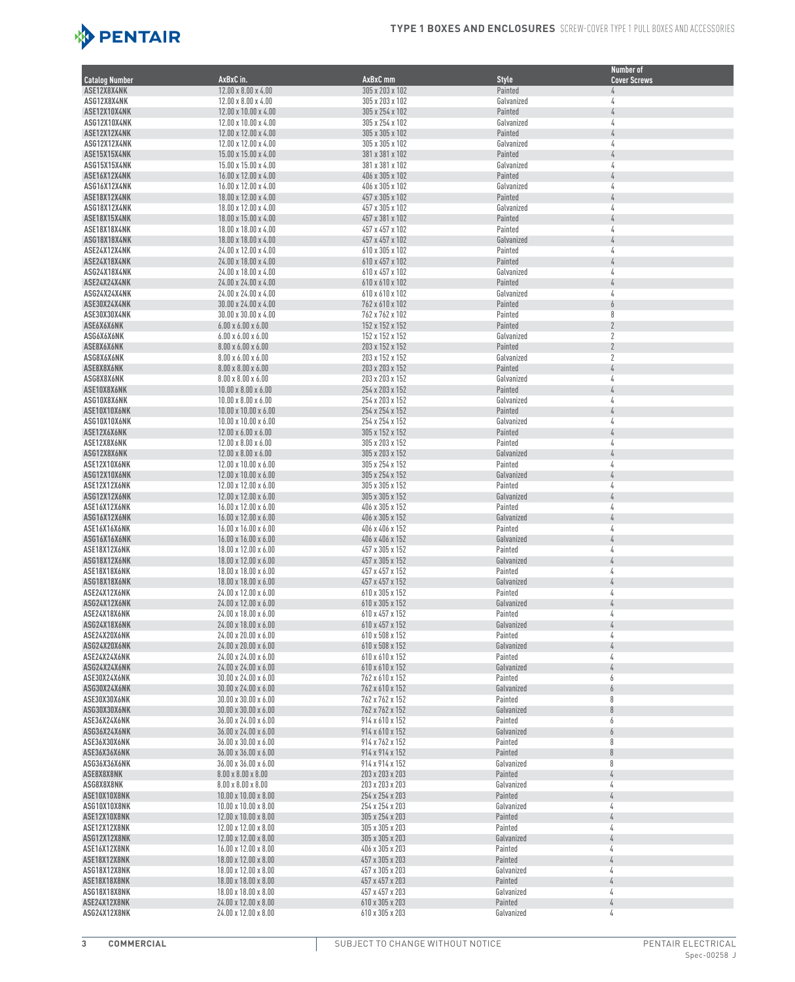

|                              |                                                                      |                                    |                       | <b>Number of</b>         |
|------------------------------|----------------------------------------------------------------------|------------------------------------|-----------------------|--------------------------|
| <b>Catalog Number</b>        | AxBxC in.                                                            | AxBxC mm                           | <b>Style</b>          | <b>Cover Screws</b>      |
| ASE12X8X4NK<br>ASG12X8X4NK   | 12.00 x 8.00 x 4.00<br>$12.00 \times 8.00 \times 4.00$               | 305 x 203 x 102<br>305 x 203 x 102 | Painted<br>Galvanized | 4<br>4                   |
| ASE12X10X4NK                 | 12.00 x 10.00 x 4.00                                                 | 305 x 254 x 102                    | Painted               |                          |
| ASG12X10X4NK                 | 12.00 x 10.00 x 4.00                                                 | 305 x 254 x 102                    | Galvanized            | 4                        |
| ASE12X12X4NK                 | 12.00 x 12.00 x 4.00                                                 | 305 x 305 x 102                    | Painted               | $\sqrt{4}$               |
| ASG12X12X4NK                 | 12.00 x 12.00 x 4.00                                                 | 305 x 305 x 102                    | Galvanized            | 4                        |
| ASE15X15X4NK                 | $15.00 \times 15.00 \times 4.00$                                     | 381 x 381 x 102                    | Painted               | 4                        |
| ASG15X15X4NK                 | 15.00 x 15.00 x 4.00                                                 | 381 x 381 x 102                    | Galvanized            | 4                        |
| ASE16X12X4NK                 | 16.00 x 12.00 x 4.00                                                 | 406 x 305 x 102                    | Painted               | 4                        |
| ASG16X12X4NK                 | 16.00 x 12.00 x 4.00                                                 | 406 x 305 x 102                    | Galvanized            | 4                        |
| ASE18X12X4NK<br>ASG18X12X4NK | 18.00 x 12.00 x 4.00<br>18.00 x 12.00 x 4.00                         | 457 x 305 x 102<br>457 x 305 x 102 | Painted<br>Galvanized | 4<br>4                   |
| ASE18X15X4NK                 | 18.00 x 15.00 x 4.00                                                 | 457 x 381 x 102                    | Painted               | $\sqrt{4}$               |
| ASE18X18X4NK                 | 18.00 x 18.00 x 4.00                                                 | 457 x 457 x 102                    | Painted               | 4                        |
| ASG18X18X4NK                 | 18.00 x 18.00 x 4.00                                                 | 457 x 457 x 102                    | Galvanized            | $\frac{1}{4}$            |
| ASE24X12X4NK                 | 24.00 x 12.00 x 4.00                                                 | 610 x 305 x 102                    | Painted               | 4                        |
| ASE24X18X4NK                 | 24.00 x 18.00 x 4.00                                                 | 610 x 457 x 102                    | Painted               | $\sqrt{4}$               |
| ASG24X18X4NK                 | 24.00 x 18.00 x 4.00                                                 | 610 x 457 x 102                    | Galvanized            | 4                        |
| ASE24X24X4NK                 | 24.00 x 24.00 x 4.00                                                 | 610 x 610 x 102                    | Painted               | 4                        |
| ASG24X24X4NK<br>ASE30X24X4NK | 24.00 x 24.00 x 4.00<br>$30.00 \times 24.00 \times 4.00$             | 610 x 610 x 102<br>762 x 610 x 102 | Galvanized<br>Painted | 4<br>$\overline{6}$      |
| ASE30X30X4NK                 | $30.00 \times 30.00 \times 4.00$                                     | 762 x 762 x 102                    | Painted               | 8                        |
| ASE6X6X6NK                   | $6.00 \times 6.00 \times 6.00$                                       | 152 x 152 x 152                    | Painted               | $\overline{2}$           |
| ASG6X6X6NK                   | $6.00 \times 6.00 \times 6.00$                                       | 152 x 152 x 152                    | Galvanized            | $\boldsymbol{2}$         |
| ASE8X6X6NK                   | $8.00 \times 6.00 \times 6.00$                                       | 203 x 152 x 152                    | Painted               | $\overline{2}$           |
| ASG8X6X6NK                   | $8.00 \times 6.00 \times 6.00$                                       | 203 x 152 x 152                    | Galvanized            | $\sqrt{2}$               |
| ASE8X8X6NK                   | $8.00 \times 8.00 \times 6.00$                                       | 203 x 203 x 152                    | Painted               | $\frac{1}{4}$            |
| ASG8X8X6NK                   | $8.00 \times 8.00 \times 6.00$                                       | 203 x 203 x 152                    | Galvanized            | 4                        |
| ASE10X8X6NK                  | $10.00 \times 8.00 \times 6.00$                                      | 254 x 203 x 152<br>254 x 203 x 152 | Painted               | 4<br>4                   |
| ASG10X8X6NK<br>ASE10X10X6NK  | $10.00 \times 8.00 \times 6.00$<br>$10.00 \times 10.00 \times 6.00$  | 254 x 254 x 152                    | Galvanized<br>Painted | 4                        |
| ASG10X10X6NK                 | $10.00 \times 10.00 \times 6.00$                                     | 254 x 254 x 152                    | Galvanized            | 4                        |
| ASE12X6X6NK                  | $12.00 \times 6.00 \times 6.00$                                      | 305 x 152 x 152                    | Painted               |                          |
| ASE12X8X6NK                  | $12.00 \times 8.00 \times 6.00$                                      | 305 x 203 x 152                    | Painted               | 4                        |
| ASG12X8X6NK                  | $12.00 \times 8.00 \times 6.00$                                      | 305 x 203 x 152                    | Galvanized            | 4                        |
| ASE12X10X6NK                 | $12.00 \times 10.00 \times 6.00$                                     | 305 x 254 x 152                    | Painted               | 4                        |
| ASG12X10X6NK                 | $12.00 \times 10.00 \times 6.00$                                     | 305 x 254 x 152                    | Galvanized            | 4                        |
| ASE12X12X6NK                 | $12.00 \times 12.00 \times 6.00$                                     | 305 x 305 x 152                    | Painted               | 4                        |
| ASG12X12X6NK<br>ASE16X12X6NK | $12.00 \times 12.00 \times 6.00$<br>$16.00 \times 12.00 \times 6.00$ | 305 x 305 x 152<br>406 x 305 x 152 | Galvanized<br>Painted | 4<br>4                   |
| ASG16X12X6NK                 | $16.00 \times 12.00 \times 6.00$                                     | 406 x 305 x 152                    | Galvanized            |                          |
| ASE16X16X6NK                 | $16.00 \times 16.00 \times 6.00$                                     | 406 x 406 x 152                    | Painted               | 4                        |
| ASG16X16X6NK                 | $16.00 \times 16.00 \times 6.00$                                     | 406 x 406 x 152                    | Galvanized            | 4                        |
| ASE18X12X6NK                 | 18.00 x 12.00 x 6.00                                                 | 457 x 305 x 152                    | Painted               | 4                        |
| ASG18X12X6NK                 | 18.00 x 12.00 x 6.00                                                 | 457 x 305 x 152                    | Galvanized            | 4                        |
| ASE18X18X6NK                 | 18.00 x 18.00 x 6.00                                                 | 457 x 457 x 152                    | Painted               | 4                        |
| ASG18X18X6NK<br>ASE24X12X6NK | 18.00 x 18.00 x 6.00<br>24.00 x 12.00 x 6.00                         | 457 x 457 x 152<br>610 x 305 x 152 | Galvanized<br>Painted | 4<br>4                   |
| ASG24X12X6NK                 | 24.00 x 12.00 x 6.00                                                 | 610 x 305 x 152                    | Galvanized            | L                        |
| ASE24X18X6NK                 | 24.00 x 18.00 x 6.00                                                 | 610 x 457 x 152                    | Painted               | 4                        |
| ASG24X18X6NK                 | 24.00 x 18.00 x 6.00                                                 | 610 x 457 x 152                    | Galvanized            | 4                        |
| ASE24X20X6NK                 | 24.00 x 20.00 x 6.00                                                 | 610 x 508 x 152                    | Painted               | 4                        |
| ASG24X20X6NK                 | 24.00 x 20.00 x 6.00                                                 | 610 x 508 x 152                    | Galvanized            |                          |
| ASE24X24X6NK                 | 24.00 x 24.00 x 6.00                                                 | 610 x 610 x 152                    | Painted               | 4                        |
| ASG24X24X6NK                 | 24.00 x 24.00 x 6.00                                                 | 610 x 610 x 152                    | Galvanized            | 4                        |
| ASE30X24X6NK<br>ASG30X24X6NK | $30.00 \times 24.00 \times 6.00$<br>30.00 x 24.00 x 6.00             | 762 x 610 x 152<br>762 x 610 x 152 | Painted<br>Galvanized | 6<br>6                   |
| ASE30X30X6NK                 | $30.00 \times 30.00 \times 6.00$                                     | 762 x 762 x 152                    | Painted               | 8                        |
| ASG30X30X6NK                 | $30.00 \times 30.00 \times 6.00$                                     | 762 x 762 x 152                    | Galvanized            | $\boldsymbol{\vartheta}$ |
| ASE36X24X6NK                 | $36.00 \times 24.00 \times 6.00$                                     | 914 x 610 x 152                    | Painted               | 6                        |
| ASG36X24X6NK                 | 36.00 x 24.00 x 6.00                                                 | 914 x 610 x 152                    | Galvanized            | 6                        |
| ASE36X30X6NK                 | $36.00 \times 30.00 \times 6.00$                                     | 914 x 762 x 152                    | Painted               | 8                        |
| ASE36X36X6NK                 | 36.00 x 36.00 x 6.00                                                 | 914 x 914 x 152                    | Painted               | 8                        |
| ASG36X36X6NK                 | $36.00 \times 36.00 \times 6.00$                                     | 914 x 914 x 152                    | Galvanized            | 8                        |
| ASE8X8X8NK<br>ASG8X8X8NK     | $8.00 \times 8.00 \times 8.00$<br>$8.00 \times 8.00 \times 8.00$     | 203 x 203 x 203<br>203 x 203 x 203 | Painted<br>Galvanized | 4<br>4                   |
| ASE10X10X8NK                 | $10.00 \times 10.00 \times 8.00$                                     | 254 x 254 x 203                    | Painted               | 4                        |
| ASG10X10X8NK                 | $10.00 \times 10.00 \times 8.00$                                     | 254 x 254 x 203                    | Galvanized            | 4                        |
| ASE12X10X8NK                 | 12.00 x 10.00 x 8.00                                                 | 305 x 254 x 203                    | Painted               | 4                        |
| ASE12X12X8NK                 | $12.00 \times 12.00 \times 8.00$                                     | 305 x 305 x 203                    | Painted               | 4                        |
| ASG12X12X8NK                 | $12.00 \times 12.00 \times 8.00$                                     | 305 x 305 x 203                    | Galvanized            | $\sqrt{4}$               |
| ASE16X12X8NK                 | 16.00 x 12.00 x 8.00                                                 | 406 x 305 x 203                    | Painted               | 4                        |
| ASE18X12X8NK                 | $18.00 \times 12.00 \times 8.00$                                     | 457 x 305 x 203                    | Painted               | 4                        |
| ASG18X12X8NK                 | 18.00 x 12.00 x 8.00                                                 | 457 x 305 x 203<br>457 x 457 x 203 | Galvanized<br>Painted | 4<br>4                   |
| ASE18X18X8NK<br>ASG18X18X8NK | 18.00 x 18.00 x 8.00<br>$18.00 \times 18.00 \times 8.00$             | 457 x 457 x 203                    | Galvanized            | 4                        |
| ASE24X12X8NK                 | $24.00 \times 12.00 \times 8.00$                                     | 610 x 305 x 203                    | Painted               | 4                        |
| ASG24X12X8NK                 | $24.00 \times 12.00 \times 8.00$                                     | 610 x 305 x 203                    | Galvanized            | 4                        |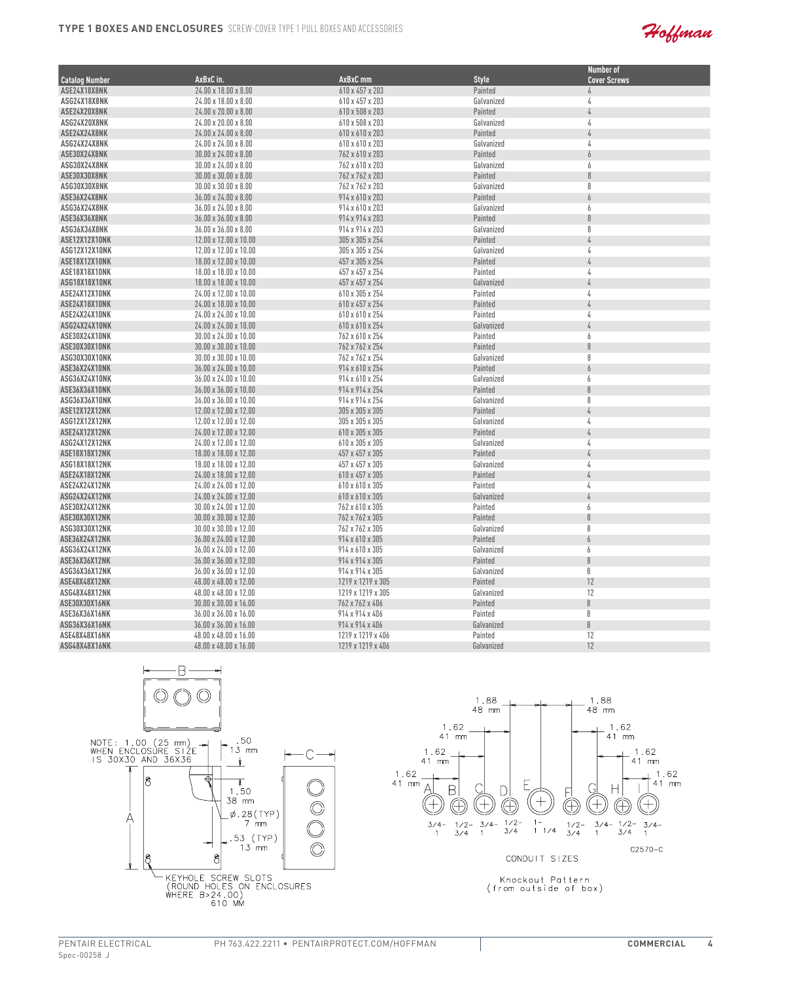

|                       |                                   |                     |              | <b>Number of</b>    |
|-----------------------|-----------------------------------|---------------------|--------------|---------------------|
| <b>Catalog Number</b> | AxBxC in.                         | AxBxC <sub>mm</sub> | <b>Style</b> | <b>Cover Screws</b> |
| ASE24X18X8NK          | 24.00 x 18.00 x 8.00              | 610 x 457 x 203     | Painted      | 4                   |
| ASG24X18X8NK          | 24.00 x 18.00 x 8.00              | 610 x 457 x 203     | Galvanized   | 4                   |
| ASE24X20X8NK          | 24.00 x 20.00 x 8.00              | 610 x 508 x 203     | Painted      | 4                   |
| ASG24X20X8NK          | 24.00 x 20.00 x 8.00              | 610 x 508 x 203     | Galvanized   | 4                   |
| ASE24X24X8NK          | 24.00 x 24.00 x 8.00              | 610 x 610 x 203     | Painted      | L                   |
| ASG24X24X8NK          | 24.00 x 24.00 x 8.00              | 610 x 610 x 203     | Galvanized   | 4                   |
| ASE30X24X8NK          | 30.00 x 24.00 x 8.00              | 762 x 610 x 203     | Painted      | 6                   |
| ASG30X24X8NK          | 30.00 x 24.00 x 8.00              | 762 x 610 x 203     | Galvanized   | 6                   |
| ASE30X30X8NK          | $30.00 \times 30.00 \times 8.00$  | 762 x 762 x 203     | Painted      | 8                   |
| ASG30X30X8NK          | $30.00 \times 30.00 \times 8.00$  | 762 x 762 x 203     | Galvanized   | 8                   |
| ASE36X24X8NK          | 36.00 x 24.00 x 8.00              | 914 x 610 x 203     | Painted      | 6                   |
| ASG36X24X8NK          | $36.00 \times 24.00 \times 8.00$  | 914 x 610 x 203     | Galvanized   | 6                   |
| ASE36X36X8NK          | 36.00 x 36.00 x 8.00              | 914 x 914 x 203     | Painted      | 8                   |
| ASG36X36X8NK          | $36.00 \times 36.00 \times 8.00$  | 914 x 914 x 203     | Galvanized   | 8                   |
| ASE12X12X10NK         | 12.00 x 12.00 x 10.00             | 305 x 305 x 254     | Painted      | Ŀ                   |
| ASG12X12X10NK         | 12.00 x 12.00 x 10.00             | 305 x 305 x 254     | Galvanized   | 4                   |
| ASE18X12X10NK         | 18.00 x 12.00 x 10.00             | 457 x 305 x 254     | Painted      | 4                   |
| ASE18X18X10NK         | 18.00 x 18.00 x 10.00             | 457 x 457 x 254     | Painted      | 4                   |
| ASG18X18X10NK         | $18.00 \times 18.00 \times 10.00$ | 457 x 457 x 254     | Galvanized   | 4                   |
| ASE24X12X10NK         | 24.00 x 12.00 x 10.00             | 610 x 305 x 254     | Painted      | 4                   |
| ASE24X18X10NK         | 24.00 x 18.00 x 10.00             | 610 x 457 x 254     | Painted      |                     |
| ASE24X24X10NK         | 24.00 x 24.00 x 10.00             | 610 x 610 x 254     | Painted      | 4                   |
| ASG24X24X10NK         | 24.00 x 24.00 x 10.00             | 610 x 610 x 254     | Galvanized   | 4                   |
| ASE30X24X10NK         | 30.00 x 24.00 x 10.00             | 762 x 610 x 254     | Painted      | 6                   |
| ASE30X30X10NK         | 30.00 x 30.00 x 10.00             | 762 x 762 x 254     | Painted      | 8                   |
| ASG30X30X10NK         | 30.00 x 30.00 x 10.00             | 762 x 762 x 254     | Galvanized   | 8                   |
| ASE36X24X10NK         | 36.00 x 24.00 x 10.00             | 914 x 610 x 254     | Painted      | $\overline{6}$      |
| ASG36X24X10NK         | 36.00 x 24.00 x 10.00             | 914 x 610 x 254     | Galvanized   | 6                   |
| ASE36X36X10NK         | 36.00 x 36.00 x 10.00             | 914 x 914 x 254     | Painted      | 8                   |
| ASG36X36X10NK         | 36.00 x 36.00 x 10.00             | 914 x 914 x 254     | Galvanized   | 8                   |
| ASE12X12X12NK         | 12.00 x 12.00 x 12.00             | 305 x 305 x 305     | Painted      | 4                   |
| <b>ASG12X12X12NK</b>  | 12.00 x 12.00 x 12.00             | 305 x 305 x 305     | Galvanized   | 4                   |
| ASE24X12X12NK         | 24.00 x 12.00 x 12.00             | 610 x 305 x 305     | Painted      | 4                   |
| ASG24X12X12NK         | 24.00 x 12.00 x 12.00             | 610 x 305 x 305     | Galvanized   | 4                   |
| ASE18X18X12NK         | 18.00 x 18.00 x 12.00             | 457 x 457 x 305     | Painted      |                     |
| ASG18X18X12NK         | 18.00 x 18.00 x 12.00             | 457 x 457 x 305     | Galvanized   | 4                   |
| ASE24X18X12NK         | 24.00 x 18.00 x 12.00             | 610 x 457 x 305     | Painted      | b                   |
| ASE24X24X12NK         | 24.00 x 24.00 x 12.00             | 610 x 610 x 305     | Painted      | 4                   |
| <b>ASG24X24X12NK</b>  | 24.00 x 24.00 x 12.00             | 610 x 610 x 305     | Galvanized   | $\sqrt{2}$          |
| ASE30X24X12NK         | 30.00 x 24.00 x 12.00             | 762 x 610 x 305     | Painted      | 6                   |
| ASE30X30X12NK         | 30.00 x 30.00 x 12.00             | 762 x 762 x 305     | Painted      | $\theta$            |
| ASG30X30X12NK         | 30.00 x 30.00 x 12.00             | 762 x 762 x 305     | Galvanized   | 8                   |
| <b>ASE36X24X12NK</b>  | 36.00 x 24.00 x 12.00             | 914 x 610 x 305     | Painted      | $\overline{6}$      |
| ASG36X24X12NK         | 36.00 x 24.00 x 12.00             | 914 x 610 x 305     | Galvanized   | 6                   |
| ASE36X36X12NK         | $36.00 \times 36.00 \times 12.00$ | 914 x 914 x 305     | Painted      | $\, 8$              |
| ASG36X36X12NK         | 36.00 x 36.00 x 12.00             | 914 x 914 x 305     | Galvanized   | 8                   |
| ASE48X48X12NK         | 48.00 x 48.00 x 12.00             | 1219 x 1219 x 305   | Painted      | 12                  |
| ASG48X48X12NK         | 48.00 x 48.00 x 12.00             | 1219 x 1219 x 305   | Galvanized   | 12                  |
| ASE30X30X16NK         | 30.00 x 30.00 x 16.00             | 762 x 762 x 406     | Painted      | 8                   |
| ASE36X36X16NK         | 36.00 x 36.00 x 16.00             | 914 x 914 x 406     | Painted      | 8                   |
| ASG36X36X16NK         | 36.00 x 36.00 x 16.00             | 914 x 914 x 406     | Galvanized   | $\, 8$              |
| ASE48X48X16NK         | 48.00 x 48.00 x 16.00             | 1219 x 1219 x 406   | Painted      | 12                  |
| ASG48X48X16NK         | 48.00 x 48.00 x 16.00             | 1219 x 1219 x 406   | Galvanized   | 12                  |
|                       |                                   |                     |              |                     |

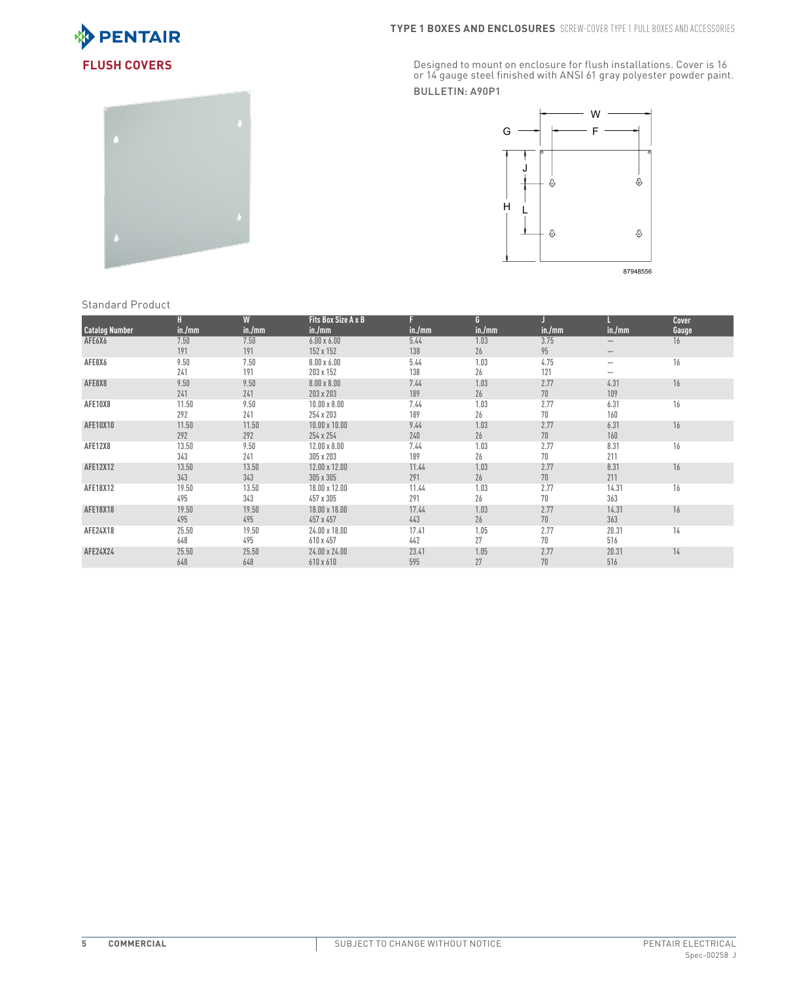



**FLUSH COVERS** Cover is 16 (Designed to mount on enclosure for flush installations. Cover is 16 (Designed to mount on enclosure for flush installations. Cover is 16 (Designed to mount on enclosure for flush installations. Bulletin: A90P1



|  | <b>Standard Product</b> |  |  |  |
|--|-------------------------|--|--|--|
|--|-------------------------|--|--|--|

|                       | H      | W      | Fits Box Size A x B  |        | G.     |        |                   | <b>Cover</b> |
|-----------------------|--------|--------|----------------------|--------|--------|--------|-------------------|--------------|
| <b>Catalog Number</b> | in./mm | in./mm | in./mm               | in./mm | in./mm | in./mm | in./mm            | Gauge        |
| AFE6X6                | 7.50   | 7.50   | $6.00 \times 6.00$   | 5.44   | 1.03   | 3.75   | $\qquad \qquad -$ | 16           |
|                       | 191    | 191    | 152 x 152            | 138    | 26     | 95     | $\qquad \qquad -$ |              |
| AFE8X6                | 9.50   | 7.50   | $8.00 \times 6.00$   | 5.44   | 1.03   | 4.75   | $\qquad \qquad -$ | 16           |
|                       | 241    | 191    | 203 x 152            | 138    | 26     | 121    | -                 |              |
| AFE8X8                | 9.50   | 9.50   | $8.00 \times 8.00$   | 7.44   | 1.03   | 2.77   | 4.31              | 16           |
|                       | 241    | 241    | 203 x 203            | 189    | 26     | 70     | 109               |              |
| AFE10X8               | 11.50  | 9.50   | $10.00 \times 8.00$  | 7.44   | 1.03   | 2.77   | 6.31              | 16           |
|                       | 292    | 241    | 254 x 203            | 189    | 26     | 70     | 160               |              |
| AFE10X10              | 11.50  | 11.50  | $10.00 \times 10.00$ | 9.44   | 1.03   | 2.77   | 6.31              | 16           |
|                       | 292    | 292    | 254 x 254            | 240    | 26     | 70     | 160               |              |
| AFE12X8               | 13.50  | 9.50   | $12.00 \times 8.00$  | 7.44   | 1.03   | 2.77   | 8.31              | 16           |
|                       | 343    | 241    | 305 x 203            | 189    | 26     | 70     | 211               |              |
| AFE12X12              | 13.50  | 13.50  | 12.00 x 12.00        | 11.44  | 1.03   | 2.77   | 8.31              | 16           |
|                       | 343    | 343    | 305 x 305            | 291    | 26     | 70     | 211               |              |
| AFE18X12              | 19.50  | 13.50  | 18.00 x 12.00        | 11.44  | 1.03   | 2.77   | 14.31             | 16           |
|                       | 495    | 343    | 457 x 305            | 291    | 26     | 70     | 363               |              |
| AFE18X18              | 19.50  | 19.50  | $18.00 \times 18.00$ | 17.44  | 1.03   | 2.77   | 14.31             | 16           |
|                       | 495    | 495    | 457 x 457            | 443    | 26     | 70     | 363               |              |
| AFE24X18              | 25.50  | 19.50  | $24.00 \times 18.00$ | 17.41  | 1.05   | 2.77   | 20.31             | 14           |
|                       | 648    | 495    | 610 x 457            | 442    | 27     | 70     | 516               |              |
| AFE24X24              | 25.50  | 25.50  | $24.00 \times 24.00$ | 23.41  | 1.05   | 2.77   | 20.31             | 14           |
|                       | 648    | 648    | 610 x 610            | 595    | 27     | 70     | 516               |              |
|                       |        |        |                      |        |        |        |                   |              |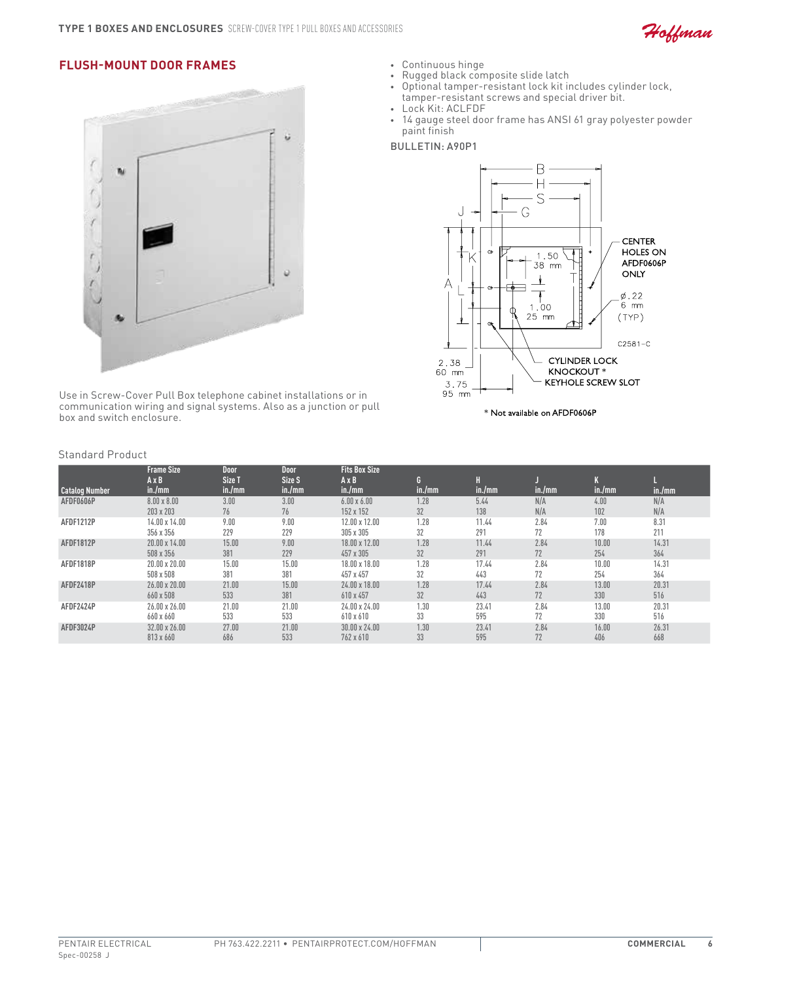

# **Flush-Mount Door Frames**



Use in Screw-Cover Pull Box telephone cabinet installations or in communication wiring and signal systems. Also as a junction or pull box and switch enclosure.

• Continuous hinge

- • Rugged black composite slide latch
- • Optional tamper-resistant lock kit includes cylinder lock,
- tamper-resistant screws and special driver bit.
- • Lock Kit: ACLFDF
- • 14 gauge steel door frame has ANSI 61 gray polyester powder paint finish

#### Bulletin: A90P1



Standard Product

|                       | <b>Frame Size</b>      | <b>Door</b>      | <b>Door</b>      | <b>Fits Box Size</b>   |             |             |        |        |        |
|-----------------------|------------------------|------------------|------------------|------------------------|-------------|-------------|--------|--------|--------|
| <b>Catalog Number</b> | $A \times B$<br>in./mm | Size T<br>in./mm | Size S<br>in./mm | $A \times B$<br>in./mm | G<br>in./mm | H<br>in./mm | in./mm | in./mm | in./mm |
| AFDF0606P             | $8.00 \times 8.00$     | 3.00             | 3.00             | $6.00 \times 6.00$     | 1.28        | 5.44        | N/A    | 4.00   | N/A    |
|                       | 203 x 203              | 76               | 76               | 152 x 152              | 32          | 138         | N/A    | 102    | N/A    |
| <b>AFDF1212P</b>      | 14.00 x 14.00          | 9.00             | 9.00             | 12.00 x 12.00          | 1.28        | 11.44       | 2.84   | 7.00   | 8.31   |
|                       | 356 x 356              | 229              | 229              | 305 x 305              | 32          | 291         | 72     | 178    | 211    |
| <b>AFDF1812P</b>      | $20.00 \times 14.00$   | 15.00            | 9.00             | 18.00 x 12.00          | 1.28        | 11.44       | 2.84   | 10.00  | 14.31  |
|                       | 508 x 356              | 381              | 229              | 457 x 305              | 32          | 291         | 72     | 254    | 364    |
| AFDF1818P             | 20.00 x 20.00          | 15.00            | 15.00            | 18.00 x 18.00          | 1.28        | 17.44       | 2.84   | 10.00  | 14.31  |
|                       | 508 x 508              | 381              | 381              | 457 x 457              | 32          | 443         | 72     | 254    | 364    |
| AFDF2418P             | 26.00 x 20.00          | 21.00            | 15.00            | $24.00 \times 18.00$   | 1.28        | 17.44       | 2.84   | 13.00  | 20.31  |
|                       | 660 x 508              | 533              | 381              | 610 x 457              | 32          | 443         | 72     | 330    | 516    |
| AFDF2424P             | 26.00 x 26.00          | 21.00            | 21.00            | 24.00 x 24.00          | 1.30        | 23.41       | 2.84   | 13.00  | 20.31  |
|                       | 660 x 660              | 533              | 533              | 610 x 610              | 33          | 595         | 72     | 330    | 516    |
| AFDF3024P             | 32.00 x 26.00          | 27.00            | 21.00            | $30.00 \times 24.00$   | 1.30        | 23.41       | 2.84   | 16.00  | 26.31  |
|                       | 813 x 660              | 686              | 533              | 762 x 610              | 33          | 595         | 72     | 406    | 668    |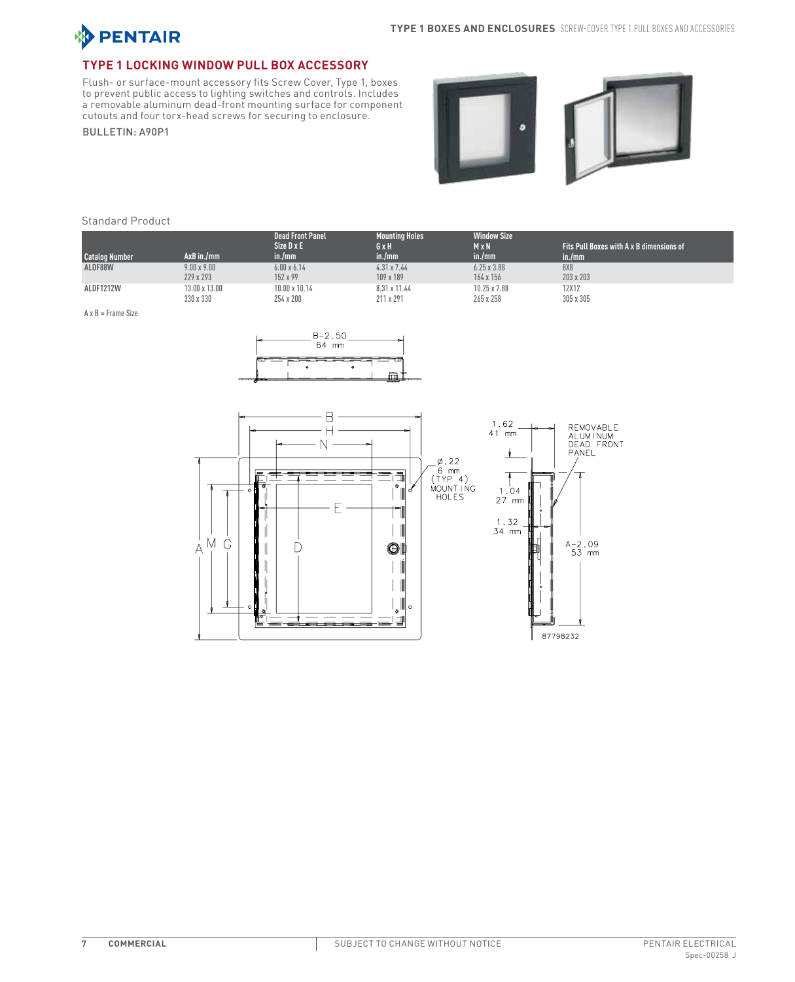

## **Type 1 Locking Window Pull Box Accessory**

Flush- or surface-mount accessory fits Screw Cover, Type 1, boxes to prevent public access to lighting switches and controls. Includes a removable aluminum dead-front mounting surface for component cutouts and four torx-head screws for securing to enclosure.

BULLETIN: A90P1





#### Standard Product

| <b>Catalog Number</b> | $AxB$ in./mm         | <b>Dead Front Panel</b><br>Size D x E<br>in./mm | <b>Mounting Holes</b><br>GxH<br>in./mm | <b>Window Size</b><br>$M \times N$<br>in./mm | Fits Pull Boxes with A x B dimensions of<br>in./mm |
|-----------------------|----------------------|-------------------------------------------------|----------------------------------------|----------------------------------------------|----------------------------------------------------|
| ALDF88W               | $9.00 \times 9.00$   | $6.00 \times 6.14$                              | $4.31 \times 7.44$                     | $6.25 \times 3.88$                           | 8X8                                                |
|                       | 229 x 293            | 152 x 99                                        | 109 x 189                              | 164 x 156                                    | 203 x 203                                          |
| ALDF1212W             | $13.00 \times 13.00$ | 10.00 x 10.14                                   | 8.31 x 11.44                           | 10.25 x 7.88                                 | 12X12                                              |
|                       | 330 x 330            | 254 x 200                                       | 211 x 291                              | 265 x 258                                    | 305 x 305                                          |

A x B = Frame Size